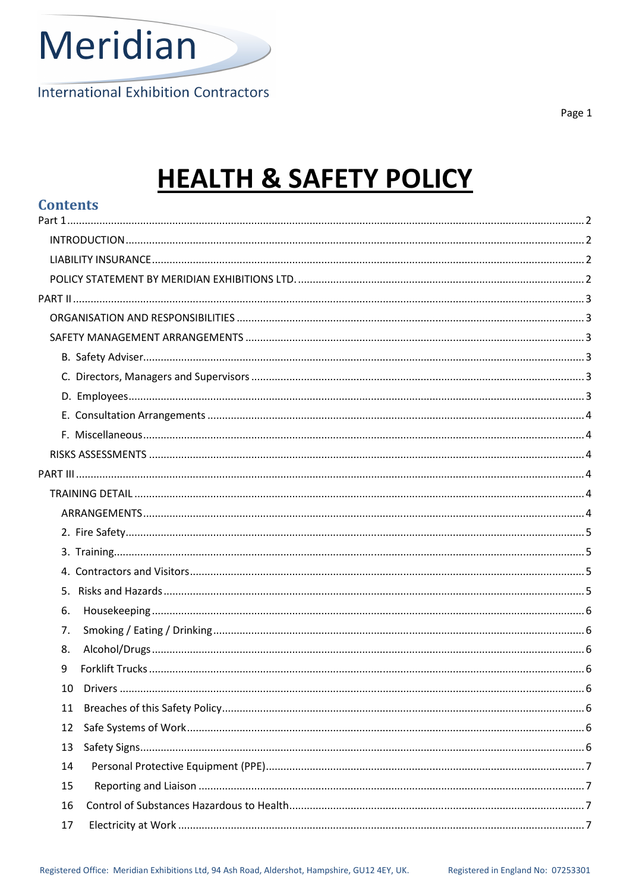

**International Exhibition Contractors** 

Page 1

# **HEALTH & SAFETY POLICY**

| <b>Contents</b> |  |
|-----------------|--|
|                 |  |
|                 |  |
|                 |  |
|                 |  |
|                 |  |
|                 |  |
|                 |  |
|                 |  |
|                 |  |
|                 |  |
|                 |  |
|                 |  |
|                 |  |
|                 |  |
|                 |  |
|                 |  |
|                 |  |
|                 |  |
|                 |  |
|                 |  |
| 6.              |  |
| 7.              |  |
| 8.              |  |
| 9               |  |
| 10              |  |
| 11              |  |
| 12              |  |
| 13              |  |
| 14              |  |
| 15              |  |
| 16              |  |
| 17              |  |
|                 |  |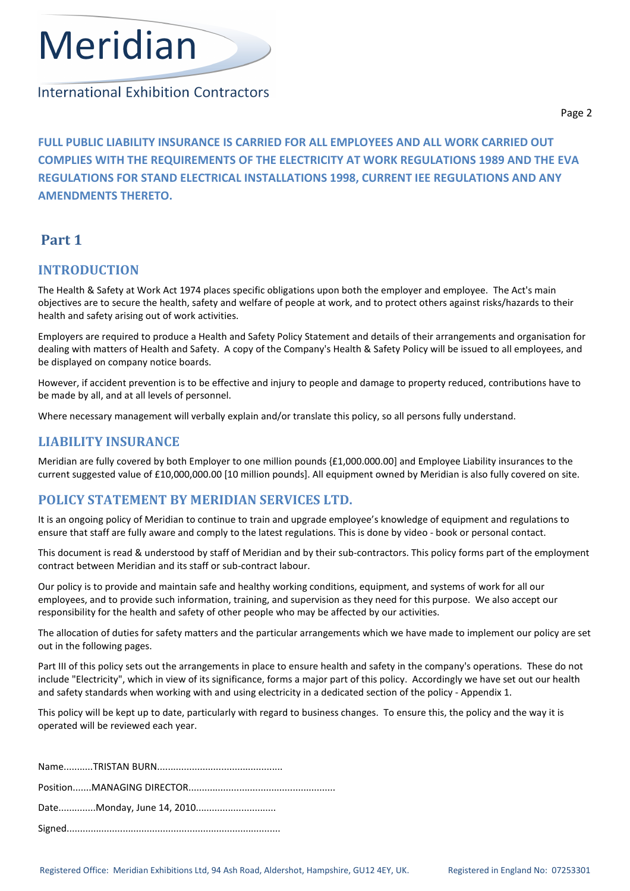

# **International Exhibition Contractors**

FULL PUBLIC LIABILITY INSURANCE IS CARRIED FOR ALL EMPLOYEES AND ALL WORK CARRIED OUT COMPLIES WITH THE REQUIREMENTS OF THE ELECTRICITY AT WORK REGULATIONS 1989 AND THE EVA REGULATIONS FOR STAND ELECTRICAL INSTALLATIONS 1998, CURRENT IEE REGULATIONS AND ANY AMENDMENTS THERETO.

# Part 1

# INTRODUCTION

The Health & Safety at Work Act 1974 places specific obligations upon both the employer and employee. The Act's main objectives are to secure the health, safety and welfare of people at work, and to protect others against risks/hazards to their health and safety arising out of work activities.

Employers are required to produce a Health and Safety Policy Statement and details of their arrangements and organisation for dealing with matters of Health and Safety. A copy of the Company's Health & Safety Policy will be issued to all employees, and be displayed on company notice boards.

However, if accident prevention is to be effective and injury to people and damage to property reduced, contributions have to be made by all, and at all levels of personnel.

Where necessary management will verbally explain and/or translate this policy, so all persons fully understand.

# LIABILITY INSURANCE

Meridian are fully covered by both Employer to one million pounds {£1,000.000.00] and Employee Liability insurances to the current suggested value of £10,000,000.00 [10 million pounds]. All equipment owned by Meridian is also fully covered on site.

# POLICY STATEMENT BY MERIDIAN SERVICES LTD.

It is an ongoing policy of Meridian to continue to train and upgrade employee's knowledge of equipment and regulations to ensure that staff are fully aware and comply to the latest regulations. This is done by video - book or personal contact.

This document is read & understood by staff of Meridian and by their sub-contractors. This policy forms part of the employment contract between Meridian and its staff or sub-contract labour.

Our policy is to provide and maintain safe and healthy working conditions, equipment, and systems of work for all our employees, and to provide such information, training, and supervision as they need for this purpose. We also accept our responsibility for the health and safety of other people who may be affected by our activities.

The allocation of duties for safety matters and the particular arrangements which we have made to implement our policy are set out in the following pages.

Part III of this policy sets out the arrangements in place to ensure health and safety in the company's operations. These do not include "Electricity", which in view of its significance, forms a major part of this policy. Accordingly we have set out our health and safety standards when working with and using electricity in a dedicated section of the policy - Appendix 1.

This policy will be kept up to date, particularly with regard to business changes. To ensure this, the policy and the way it is operated will be reviewed each year.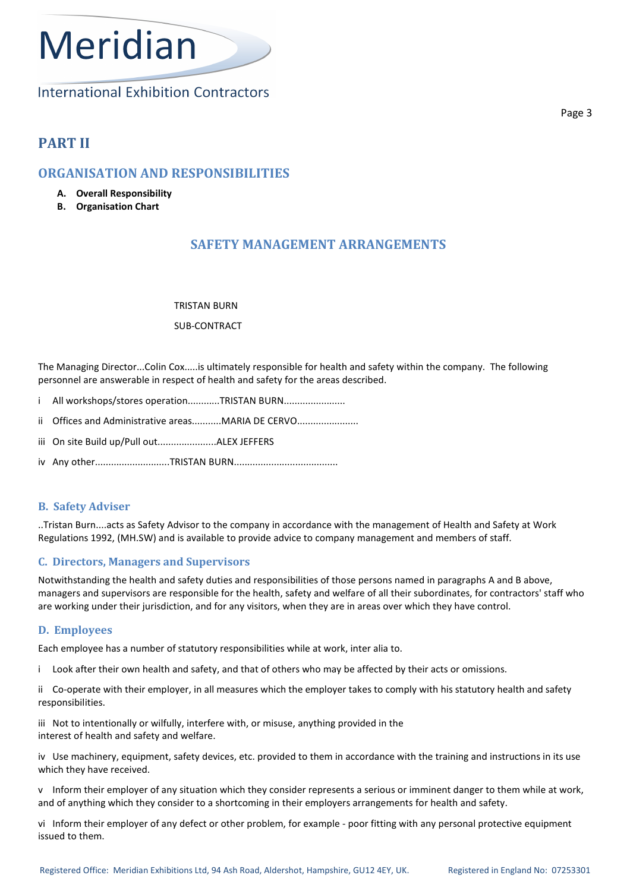**International Exhibition Contractors** 

# PART II

# ORGANISATION AND RESPONSIBILITIES

- A. Overall Responsibility
- B. Organisation Chart

# SAFETY MANAGEMENT ARRANGEMENTS

TRISTAN BURN

# SUB-CONTRACT

The Managing Director...Colin Cox.....is ultimately responsible for health and safety within the company. The following personnel are answerable in respect of health and safety for the areas described.

- i All workshops/stores operation...........TRISTAN BURN........................
- ii Offices and Administrative areas..........MARIA DE CERVO......................
- iii On site Build up/Pull out......................ALEX JEFFERS
- iv Any other............................TRISTAN BURN.......................................

# B. Safety Adviser

..Tristan Burn....acts as Safety Advisor to the company in accordance with the management of Health and Safety at Work Regulations 1992, (MH.SW) and is available to provide advice to company management and members of staff.

# C. Directors, Managers and Supervisors

Notwithstanding the health and safety duties and responsibilities of those persons named in paragraphs A and B above, managers and supervisors are responsible for the health, safety and welfare of all their subordinates, for contractors' staff who are working under their jurisdiction, and for any visitors, when they are in areas over which they have control.

# D. Employees

Each employee has a number of statutory responsibilities while at work, inter alia to.

i Look after their own health and safety, and that of others who may be affected by their acts or omissions.

ii Co-operate with their employer, in all measures which the employer takes to comply with his statutory health and safety responsibilities.

iii Not to intentionally or wilfully, interfere with, or misuse, anything provided in the interest of health and safety and welfare.

iv Use machinery, equipment, safety devices, etc. provided to them in accordance with the training and instructions in its use which they have received.

v Inform their employer of any situation which they consider represents a serious or imminent danger to them while at work, and of anything which they consider to a shortcoming in their employers arrangements for health and safety.

vi Inform their employer of any defect or other problem, for example - poor fitting with any personal protective equipment issued to them.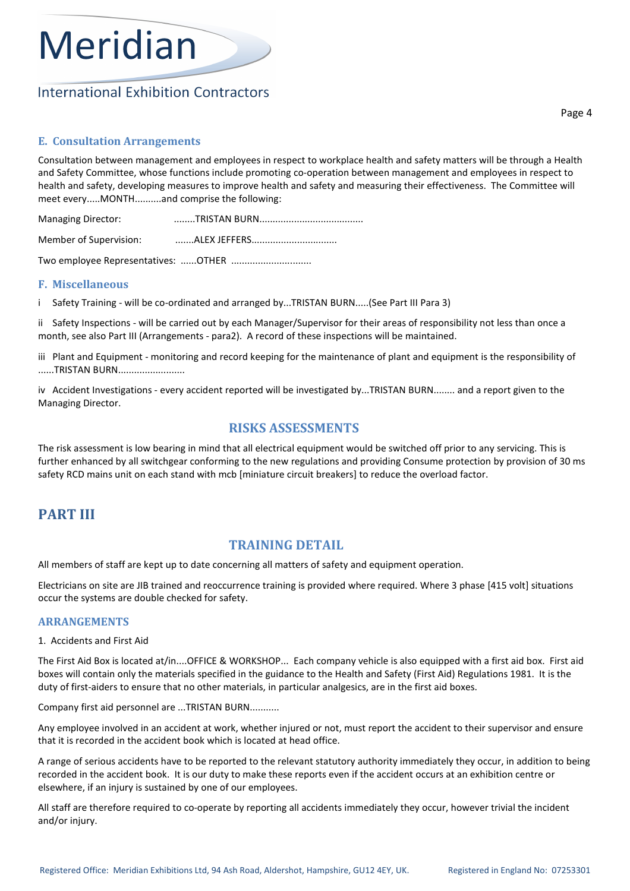# **International Exhibition Contractors**

Page 4

# E. Consultation Arrangements

Consultation between management and employees in respect to workplace health and safety matters will be through a Health and Safety Committee, whose functions include promoting co-operation between management and employees in respect to health and safety, developing measures to improve health and safety and measuring their effectiveness. The Committee will meet every.....MONTH..........and comprise the following:

| Managing Director:                  |  |  |  |
|-------------------------------------|--|--|--|
| Member of Supervision:              |  |  |  |
| Two employee Representatives: OTHER |  |  |  |

# F. Miscellaneous

i Safety Training - will be co-ordinated and arranged by...TRISTAN BURN.....(See Part III Para 3)

ii Safety Inspections - will be carried out by each Manager/Supervisor for their areas of responsibility not less than once a month, see also Part III (Arrangements - para2). A record of these inspections will be maintained.

iii Plant and Equipment - monitoring and record keeping for the maintenance of plant and equipment is the responsibility of ......TRISTAN BURN.........................

iv Accident Investigations - every accident reported will be investigated by...TRISTAN BURN........ and a report given to the Managing Director.

# RISKS ASSESSMENTS

The risk assessment is low bearing in mind that all electrical equipment would be switched off prior to any servicing. This is further enhanced by all switchgear conforming to the new regulations and providing Consume protection by provision of 30 ms safety RCD mains unit on each stand with mcb [miniature circuit breakers] to reduce the overload factor.

# PART III

# TRAINING DETAIL

All members of staff are kept up to date concerning all matters of safety and equipment operation.

Electricians on site are JIB trained and reoccurrence training is provided where required. Where 3 phase [415 volt] situations occur the systems are double checked for safety.

# ARRANGEMENTS

### 1. Accidents and First Aid

The First Aid Box is located at/in....OFFICE & WORKSHOP... Each company vehicle is also equipped with a first aid box. First aid boxes will contain only the materials specified in the guidance to the Health and Safety (First Aid) Regulations 1981. It is the duty of first-aiders to ensure that no other materials, in particular analgesics, are in the first aid boxes.

Company first aid personnel are ...TRISTAN BURN...........

Any employee involved in an accident at work, whether injured or not, must report the accident to their supervisor and ensure that it is recorded in the accident book which is located at head office.

A range of serious accidents have to be reported to the relevant statutory authority immediately they occur, in addition to being recorded in the accident book. It is our duty to make these reports even if the accident occurs at an exhibition centre or elsewhere, if an injury is sustained by one of our employees.

All staff are therefore required to co-operate by reporting all accidents immediately they occur, however trivial the incident and/or injury.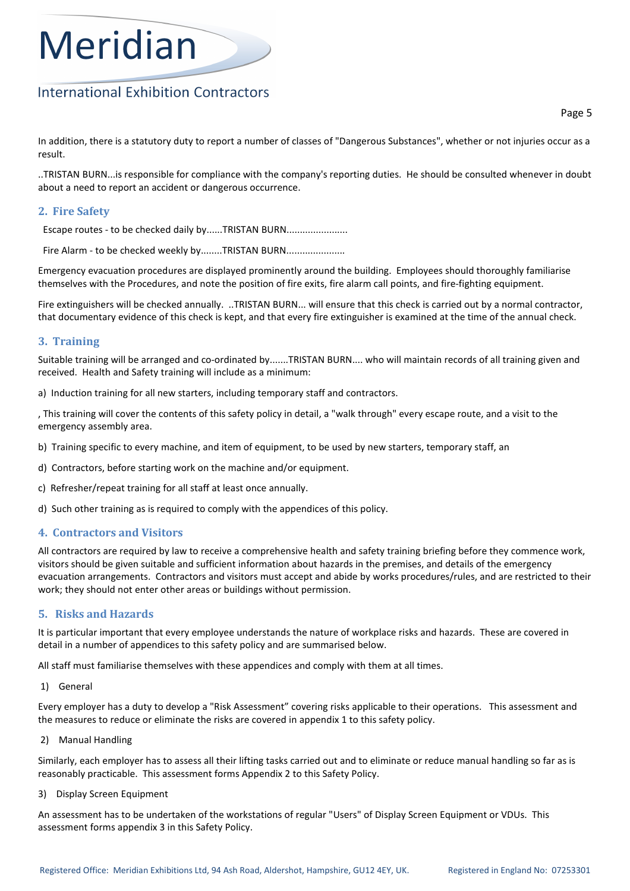# **International Exhibition Contractors**

Page 5

In addition, there is a statutory duty to report a number of classes of "Dangerous Substances", whether or not injuries occur as a result.

..TRISTAN BURN...is responsible for compliance with the company's reporting duties. He should be consulted whenever in doubt about a need to report an accident or dangerous occurrence.

# 2. Fire Safety

Escape routes - to be checked daily by......TRISTAN BURN........................

Fire Alarm - to be checked weekly by........TRISTAN BURN.......................

Emergency evacuation procedures are displayed prominently around the building. Employees should thoroughly familiarise themselves with the Procedures, and note the position of fire exits, fire alarm call points, and fire-fighting equipment.

Fire extinguishers will be checked annually. ..TRISTAN BURN... will ensure that this check is carried out by a normal contractor, that documentary evidence of this check is kept, and that every fire extinguisher is examined at the time of the annual check.

# 3. Training

Suitable training will be arranged and co-ordinated by.......TRISTAN BURN.... who will maintain records of all training given and received. Health and Safety training will include as a minimum:

a) Induction training for all new starters, including temporary staff and contractors.

, This training will cover the contents of this safety policy in detail, a "walk through" every escape route, and a visit to the emergency assembly area.

- b) Training specific to every machine, and item of equipment, to be used by new starters, temporary staff, an
- d) Contractors, before starting work on the machine and/or equipment.
- c) Refresher/repeat training for all staff at least once annually.
- d) Such other training as is required to comply with the appendices of this policy.

# 4. Contractors and Visitors

All contractors are required by law to receive a comprehensive health and safety training briefing before they commence work, visitors should be given suitable and sufficient information about hazards in the premises, and details of the emergency evacuation arrangements. Contractors and visitors must accept and abide by works procedures/rules, and are restricted to their work; they should not enter other areas or buildings without permission.

# 5. Risks and Hazards

It is particular important that every employee understands the nature of workplace risks and hazards. These are covered in detail in a number of appendices to this safety policy and are summarised below.

All staff must familiarise themselves with these appendices and comply with them at all times.

1) General

Every employer has a duty to develop a "Risk Assessment" covering risks applicable to their operations. This assessment and the measures to reduce or eliminate the risks are covered in appendix 1 to this safety policy.

2) Manual Handling

Similarly, each employer has to assess all their lifting tasks carried out and to eliminate or reduce manual handling so far as is reasonably practicable. This assessment forms Appendix 2 to this Safety Policy.

#### 3) Display Screen Equipment

An assessment has to be undertaken of the workstations of regular "Users" of Display Screen Equipment or VDUs. This assessment forms appendix 3 in this Safety Policy.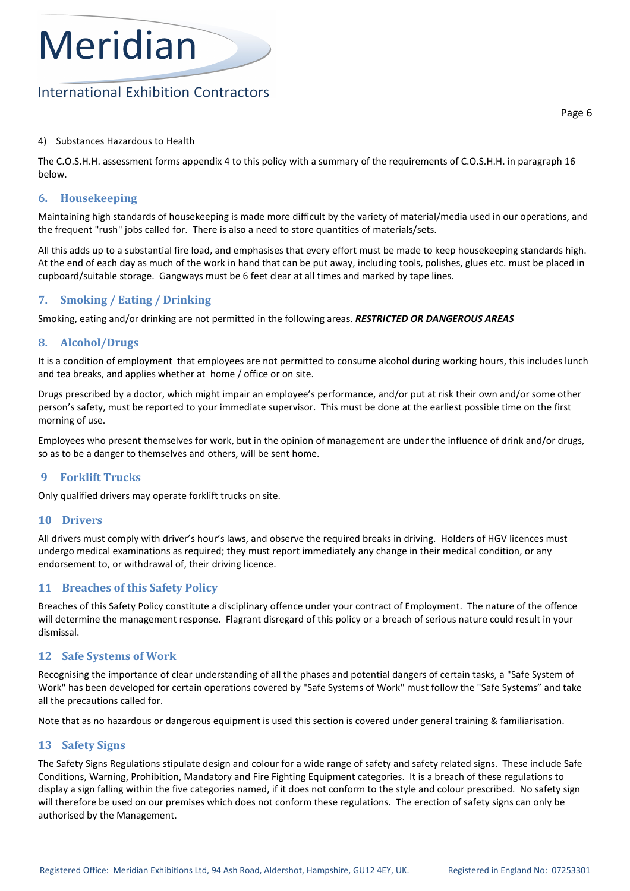# **International Exhibition Contractors**

### 4) Substances Hazardous to Health

The C.O.S.H.H. assessment forms appendix 4 to this policy with a summary of the requirements of C.O.S.H.H. in paragraph 16 below.

# 6. Housekeeping

Maintaining high standards of housekeeping is made more difficult by the variety of material/media used in our operations, and the frequent "rush" jobs called for. There is also a need to store quantities of materials/sets.

All this adds up to a substantial fire load, and emphasises that every effort must be made to keep housekeeping standards high. At the end of each day as much of the work in hand that can be put away, including tools, polishes, glues etc. must be placed in cupboard/suitable storage. Gangways must be 6 feet clear at all times and marked by tape lines.

# 7. Smoking / Eating / Drinking

Smoking, eating and/or drinking are not permitted in the following areas. RESTRICTED OR DANGEROUS AREAS

# 8. Alcohol/Drugs

It is a condition of employment that employees are not permitted to consume alcohol during working hours, this includes lunch and tea breaks, and applies whether at home / office or on site.

Drugs prescribed by a doctor, which might impair an employee's performance, and/or put at risk their own and/or some other person's safety, must be reported to your immediate supervisor. This must be done at the earliest possible time on the first morning of use.

Employees who present themselves for work, but in the opinion of management are under the influence of drink and/or drugs, so as to be a danger to themselves and others, will be sent home.

# 9 Forklift Trucks

Only qualified drivers may operate forklift trucks on site.

### 10 Drivers

All drivers must comply with driver's hour's laws, and observe the required breaks in driving. Holders of HGV licences must undergo medical examinations as required; they must report immediately any change in their medical condition, or any endorsement to, or withdrawal of, their driving licence.

# 11 Breaches of this Safety Policy

Breaches of this Safety Policy constitute a disciplinary offence under your contract of Employment. The nature of the offence will determine the management response. Flagrant disregard of this policy or a breach of serious nature could result in your dismissal.

# 12 Safe Systems of Work

Recognising the importance of clear understanding of all the phases and potential dangers of certain tasks, a "Safe System of Work" has been developed for certain operations covered by "Safe Systems of Work" must follow the "Safe Systems" and take all the precautions called for.

Note that as no hazardous or dangerous equipment is used this section is covered under general training & familiarisation.

# 13 Safety Signs

The Safety Signs Regulations stipulate design and colour for a wide range of safety and safety related signs. These include Safe Conditions, Warning, Prohibition, Mandatory and Fire Fighting Equipment categories. It is a breach of these regulations to display a sign falling within the five categories named, if it does not conform to the style and colour prescribed. No safety sign will therefore be used on our premises which does not conform these regulations. The erection of safety signs can only be authorised by the Management.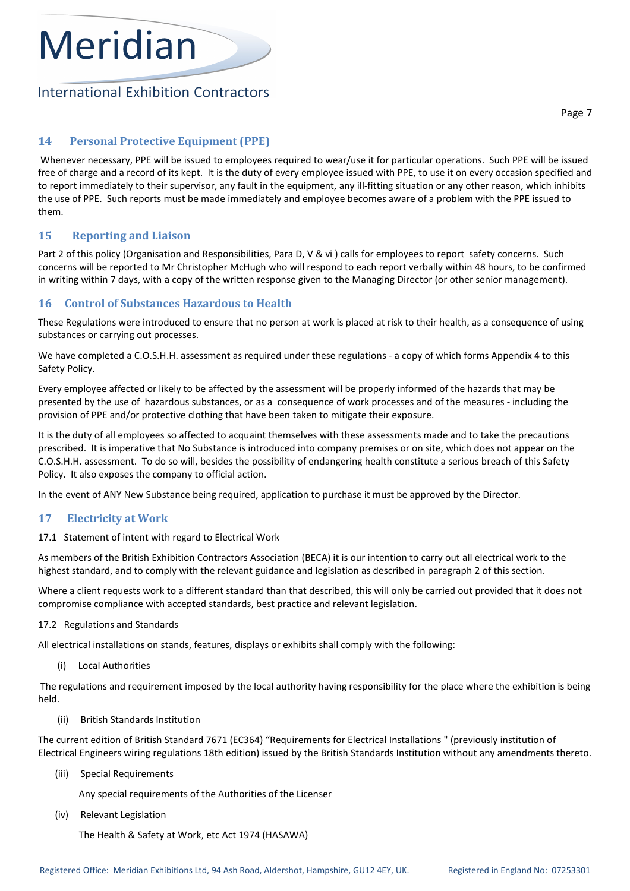# **International Exhibition Contractors**

# 14 Personal Protective Equipment (PPE)

 Whenever necessary, PPE will be issued to employees required to wear/use it for particular operations. Such PPE will be issued free of charge and a record of its kept. It is the duty of every employee issued with PPE, to use it on every occasion specified and to report immediately to their supervisor, any fault in the equipment, any ill-fitting situation or any other reason, which inhibits the use of PPE. Such reports must be made immediately and employee becomes aware of a problem with the PPE issued to them.

# 15 Reporting and Liaison

Part 2 of this policy (Organisation and Responsibilities, Para D, V & vi) calls for employees to report safety concerns. Such concerns will be reported to Mr Christopher McHugh who will respond to each report verbally within 48 hours, to be confirmed in writing within 7 days, with a copy of the written response given to the Managing Director (or other senior management).

# 16 Control of Substances Hazardous to Health

These Regulations were introduced to ensure that no person at work is placed at risk to their health, as a consequence of using substances or carrying out processes.

We have completed a C.O.S.H.H. assessment as required under these regulations - a copy of which forms Appendix 4 to this Safety Policy.

Every employee affected or likely to be affected by the assessment will be properly informed of the hazards that may be presented by the use of hazardous substances, or as a consequence of work processes and of the measures - including the provision of PPE and/or protective clothing that have been taken to mitigate their exposure.

It is the duty of all employees so affected to acquaint themselves with these assessments made and to take the precautions prescribed. It is imperative that No Substance is introduced into company premises or on site, which does not appear on the C.O.S.H.H. assessment. To do so will, besides the possibility of endangering health constitute a serious breach of this Safety Policy. It also exposes the company to official action.

In the event of ANY New Substance being required, application to purchase it must be approved by the Director.

# 17 Electricity at Work

17.1 Statement of intent with regard to Electrical Work

As members of the British Exhibition Contractors Association (BECA) it is our intention to carry out all electrical work to the highest standard, and to comply with the relevant guidance and legislation as described in paragraph 2 of this section.

Where a client requests work to a different standard than that described, this will only be carried out provided that it does not compromise compliance with accepted standards, best practice and relevant legislation.

# 17.2 Regulations and Standards

All electrical installations on stands, features, displays or exhibits shall comply with the following:

(i) Local Authorities

 The regulations and requirement imposed by the local authority having responsibility for the place where the exhibition is being held.

(ii) British Standards Institution

The current edition of British Standard 7671 (EC364) "Requirements for Electrical Installations " (previously institution of Electrical Engineers wiring regulations 18th edition) issued by the British Standards Institution without any amendments thereto.

(iii) Special Requirements

Any special requirements of the Authorities of the Licenser

(iv) Relevant Legislation

The Health & Safety at Work, etc Act 1974 (HASAWA)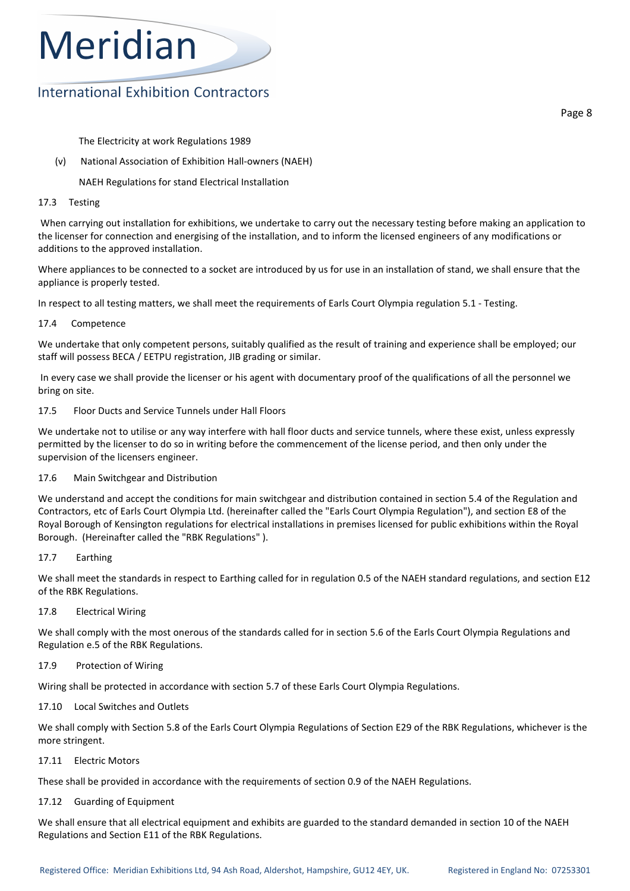# **International Exhibition Contractors**

Page 8

The Electricity at work Regulations 1989

(v) National Association of Exhibition Hall-owners (NAEH)

NAEH Regulations for stand Electrical Installation

#### 17.3 Testing

 When carrying out installation for exhibitions, we undertake to carry out the necessary testing before making an application to the licenser for connection and energising of the installation, and to inform the licensed engineers of any modifications or additions to the approved installation.

Where appliances to be connected to a socket are introduced by us for use in an installation of stand, we shall ensure that the appliance is properly tested.

In respect to all testing matters, we shall meet the requirements of Earls Court Olympia regulation 5.1 - Testing.

### 17.4 Competence

We undertake that only competent persons, suitably qualified as the result of training and experience shall be employed; our staff will possess BECA / EETPU registration, JIB grading or similar.

 In every case we shall provide the licenser or his agent with documentary proof of the qualifications of all the personnel we bring on site.

### 17.5 Floor Ducts and Service Tunnels under Hall Floors

We undertake not to utilise or any way interfere with hall floor ducts and service tunnels, where these exist, unless expressly permitted by the licenser to do so in writing before the commencement of the license period, and then only under the supervision of the licensers engineer.

### 17.6 Main Switchgear and Distribution

We understand and accept the conditions for main switchgear and distribution contained in section 5.4 of the Regulation and Contractors, etc of Earls Court Olympia Ltd. (hereinafter called the "Earls Court Olympia Regulation"), and section E8 of the Royal Borough of Kensington regulations for electrical installations in premises licensed for public exhibitions within the Royal Borough. (Hereinafter called the "RBK Regulations" ).

### 17.7 Earthing

We shall meet the standards in respect to Earthing called for in regulation 0.5 of the NAEH standard regulations, and section E12 of the RBK Regulations.

### 17.8 Electrical Wiring

We shall comply with the most onerous of the standards called for in section 5.6 of the Earls Court Olympia Regulations and Regulation e.5 of the RBK Regulations.

### 17.9 Protection of Wiring

Wiring shall be protected in accordance with section 5.7 of these Earls Court Olympia Regulations.

### 17.10 Local Switches and Outlets

We shall comply with Section 5.8 of the Earls Court Olympia Regulations of Section E29 of the RBK Regulations, whichever is the more stringent.

#### 17.11 Electric Motors

These shall be provided in accordance with the requirements of section 0.9 of the NAEH Regulations.

### 17.12 Guarding of Equipment

We shall ensure that all electrical equipment and exhibits are guarded to the standard demanded in section 10 of the NAEH Regulations and Section E11 of the RBK Regulations.